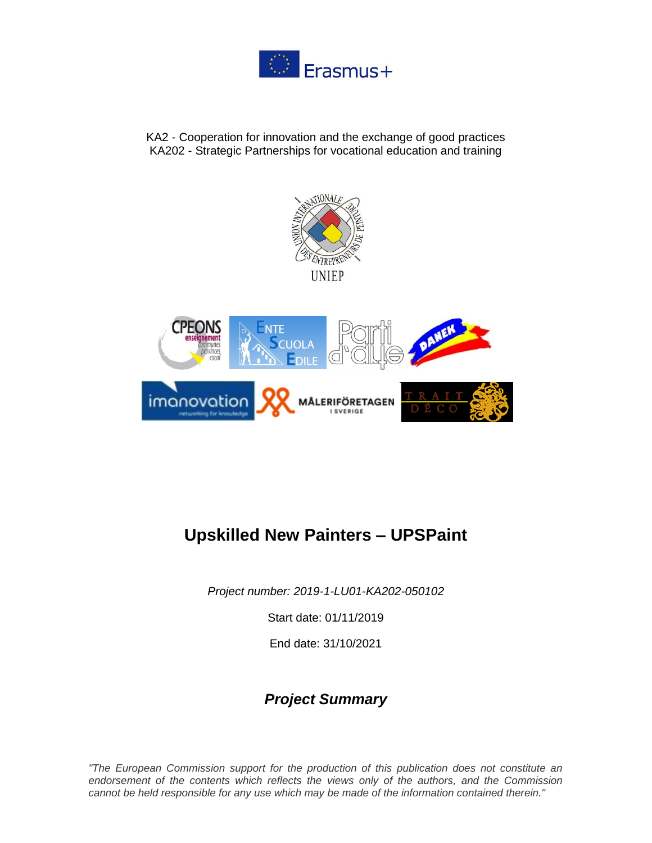

KA2 - Cooperation for innovation and the exchange of good practices KA202 - Strategic Partnerships for vocational education and training





# **Upskilled New Painters – UPSPaint**

*Project number: 2019-1-LU01-KA202-050102*

Start date: 01/11/2019

End date: 31/10/2021

### *Project Summary*

*"The European Commission support for the production of this publication does not constitute an endorsement of the contents which reflects the views only of the authors, and the Commission cannot be held responsible for any use which may be made of the information contained therein."*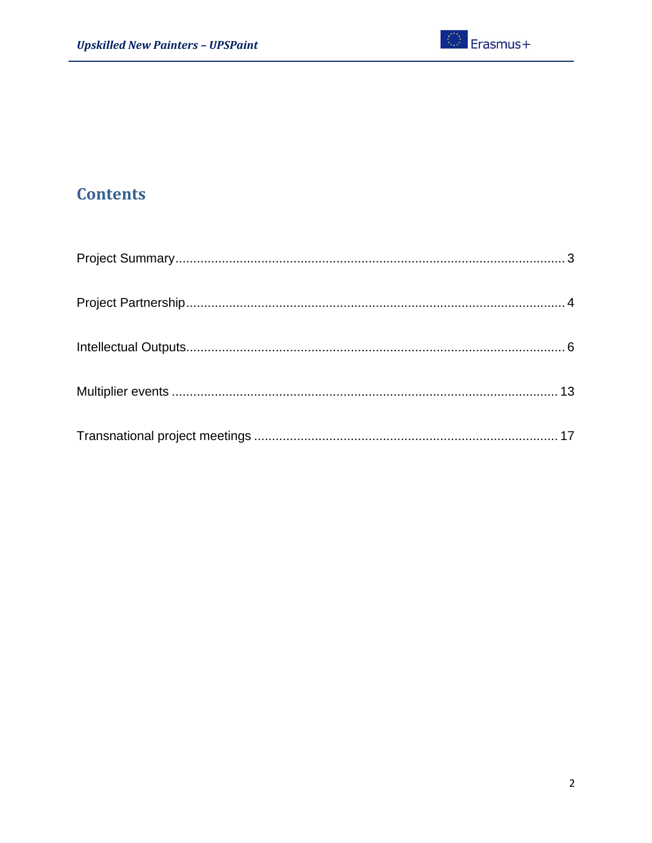## **Contents**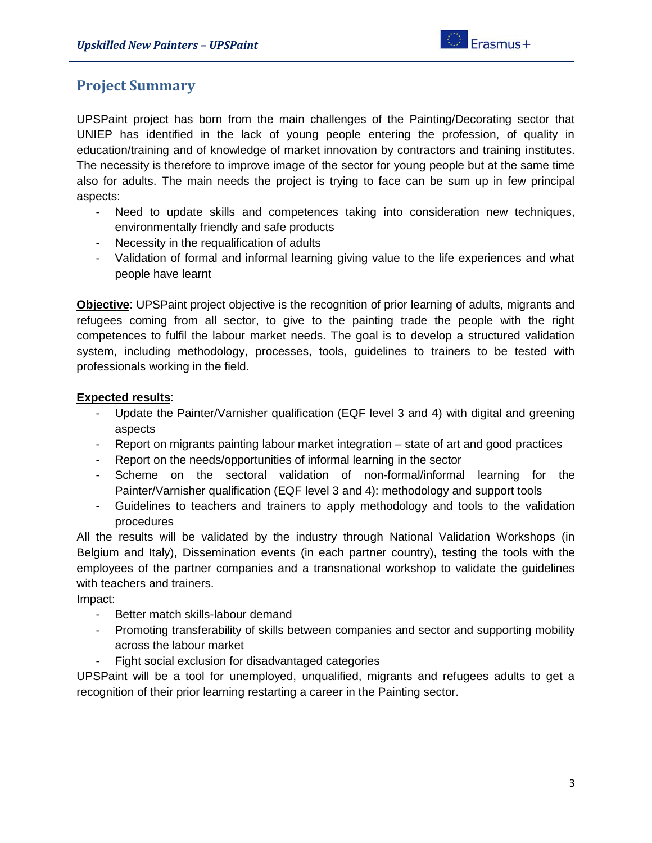### <span id="page-2-0"></span>**Project Summary**

UPSPaint project has born from the main challenges of the Painting/Decorating sector that UNIEP has identified in the lack of young people entering the profession, of quality in education/training and of knowledge of market innovation by contractors and training institutes. The necessity is therefore to improve image of the sector for young people but at the same time also for adults. The main needs the project is trying to face can be sum up in few principal aspects:

- Need to update skills and competences taking into consideration new techniques, environmentally friendly and safe products
- Necessity in the requalification of adults
- Validation of formal and informal learning giving value to the life experiences and what people have learnt

**Objective**: UPSPaint project objective is the recognition of prior learning of adults, migrants and refugees coming from all sector, to give to the painting trade the people with the right competences to fulfil the labour market needs. The goal is to develop a structured validation system, including methodology, processes, tools, guidelines to trainers to be tested with professionals working in the field.

#### **Expected results**:

- Update the Painter/Varnisher qualification (EQF level 3 and 4) with digital and greening aspects
- Report on migrants painting labour market integration state of art and good practices
- Report on the needs/opportunities of informal learning in the sector
- Scheme on the sectoral validation of non-formal/informal learning for the Painter/Varnisher qualification (EQF level 3 and 4): methodology and support tools
- Guidelines to teachers and trainers to apply methodology and tools to the validation procedures

All the results will be validated by the industry through National Validation Workshops (in Belgium and Italy), Dissemination events (in each partner country), testing the tools with the employees of the partner companies and a transnational workshop to validate the guidelines with teachers and trainers.

Impact:

- Better match skills-labour demand
- Promoting transferability of skills between companies and sector and supporting mobility across the labour market
- Fight social exclusion for disadvantaged categories

UPSPaint will be a tool for unemployed, unqualified, migrants and refugees adults to get a recognition of their prior learning restarting a career in the Painting sector.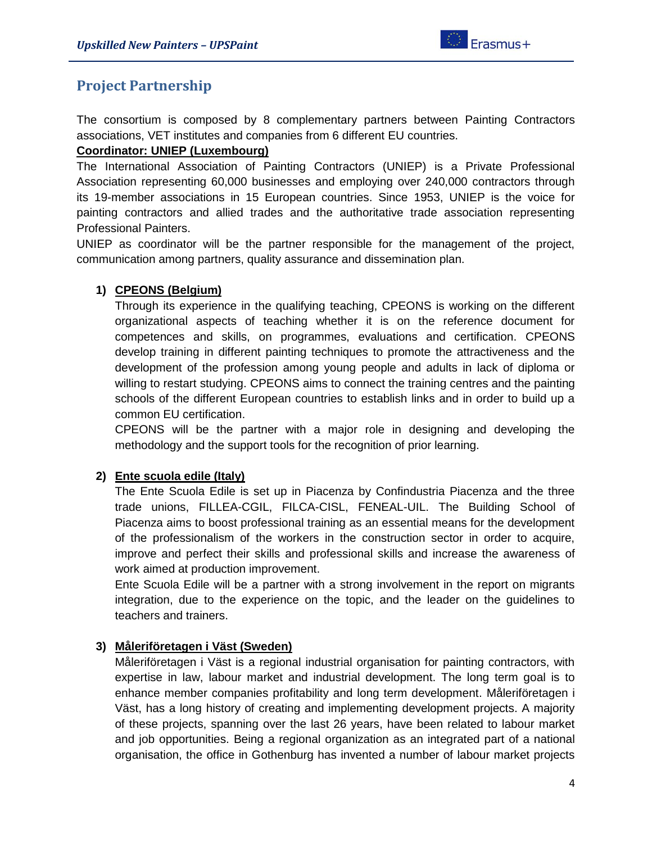### <span id="page-3-0"></span>**Project Partnership**

The consortium is composed by 8 complementary partners between Painting Contractors associations, VET institutes and companies from 6 different EU countries.

#### **Coordinator: UNIEP (Luxembourg)**

The International Association of Painting Contractors (UNIEP) is a Private Professional Association representing 60,000 businesses and employing over 240,000 contractors through its 19-member associations in 15 European countries. Since 1953, UNIEP is the voice for painting contractors and allied trades and the authoritative trade association representing Professional Painters.

UNIEP as coordinator will be the partner responsible for the management of the project, communication among partners, quality assurance and dissemination plan.

#### **1) CPEONS (Belgium)**

Through its experience in the qualifying teaching, CPEONS is working on the different organizational aspects of teaching whether it is on the reference document for competences and skills, on programmes, evaluations and certification. CPEONS develop training in different painting techniques to promote the attractiveness and the development of the profession among young people and adults in lack of diploma or willing to restart studying. CPEONS aims to connect the training centres and the painting schools of the different European countries to establish links and in order to build up a common EU certification.

CPEONS will be the partner with a major role in designing and developing the methodology and the support tools for the recognition of prior learning.

#### **2) Ente scuola edile (Italy)**

The Ente Scuola Edile is set up in Piacenza by Confindustria Piacenza and the three trade unions, FILLEA-CGIL, FILCA-CISL, FENEAL-UIL. The Building School of Piacenza aims to boost professional training as an essential means for the development of the professionalism of the workers in the construction sector in order to acquire, improve and perfect their skills and professional skills and increase the awareness of work aimed at production improvement.

Ente Scuola Edile will be a partner with a strong involvement in the report on migrants integration, due to the experience on the topic, and the leader on the guidelines to teachers and trainers.

#### **3) Måleriföretagen i Väst (Sweden)**

Måleriföretagen i Väst is a regional industrial organisation for painting contractors, with expertise in law, labour market and industrial development. The long term goal is to enhance member companies profitability and long term development. Måleriföretagen i Väst, has a long history of creating and implementing development projects. A majority of these projects, spanning over the last 26 years, have been related to labour market and job opportunities. Being a regional organization as an integrated part of a national organisation, the office in Gothenburg has invented a number of labour market projects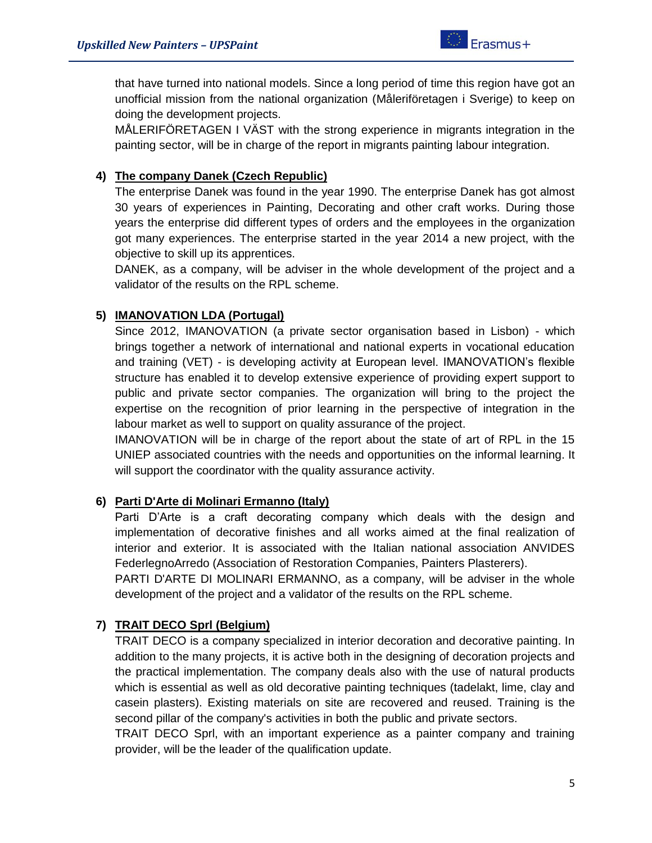that have turned into national models. Since a long period of time this region have got an unofficial mission from the national organization (Måleriföretagen i Sverige) to keep on doing the development projects.

MÅLERIFÖRETAGEN I VÄST with the strong experience in migrants integration in the painting sector, will be in charge of the report in migrants painting labour integration.

#### **4) The company Danek (Czech Republic)**

The enterprise Danek was found in the year 1990. The enterprise Danek has got almost 30 years of experiences in Painting, Decorating and other craft works. During those years the enterprise did different types of orders and the employees in the organization got many experiences. The enterprise started in the year 2014 a new project, with the objective to skill up its apprentices.

DANEK, as a company, will be adviser in the whole development of the project and a validator of the results on the RPL scheme.

#### **5) IMANOVATION LDA (Portugal)**

Since 2012, IMANOVATION (a private sector organisation based in Lisbon) - which brings together a network of international and national experts in vocational education and training (VET) - is developing activity at European level. IMANOVATION's flexible structure has enabled it to develop extensive experience of providing expert support to public and private sector companies. The organization will bring to the project the expertise on the recognition of prior learning in the perspective of integration in the labour market as well to support on quality assurance of the project.

IMANOVATION will be in charge of the report about the state of art of RPL in the 15 UNIEP associated countries with the needs and opportunities on the informal learning. It will support the coordinator with the quality assurance activity.

#### **6) Parti D'Arte di Molinari Ermanno (Italy)**

Parti D'Arte is a craft decorating company which deals with the design and implementation of decorative finishes and all works aimed at the final realization of interior and exterior. It is associated with the Italian national association ANVIDES FederlegnoArredo (Association of Restoration Companies, Painters Plasterers).

PARTI D'ARTE DI MOLINARI ERMANNO, as a company, will be adviser in the whole development of the project and a validator of the results on the RPL scheme.

#### **7) TRAIT DECO Sprl (Belgium)**

TRAIT DECO is a company specialized in interior decoration and decorative painting. In addition to the many projects, it is active both in the designing of decoration projects and the practical implementation. The company deals also with the use of natural products which is essential as well as old decorative painting techniques (tadelakt, lime, clay and casein plasters). Existing materials on site are recovered and reused. Training is the second pillar of the company's activities in both the public and private sectors.

TRAIT DECO Sprl, with an important experience as a painter company and training provider, will be the leader of the qualification update.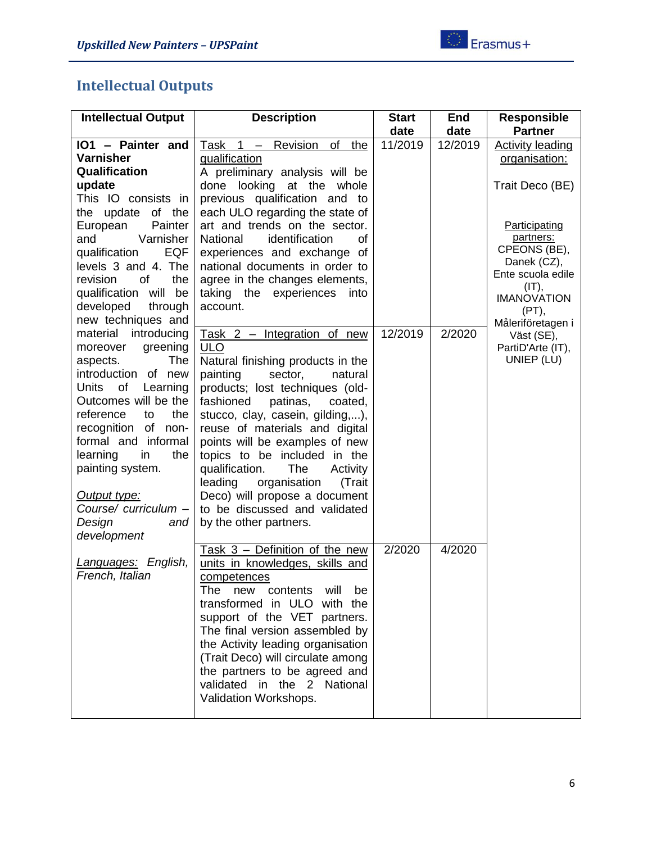# <span id="page-5-0"></span>**Intellectual Outputs**

| <b>Intellectual Output</b>   | <b>Description</b>                   | <b>Start</b> | <b>End</b> | <b>Responsible</b>               |
|------------------------------|--------------------------------------|--------------|------------|----------------------------------|
|                              |                                      | date         | date       | <b>Partner</b>                   |
| IO1 - Painter and            | Task 1 - Revision<br>of the          | 11/2019      | 12/2019    | <b>Activity leading</b>          |
| <b>Varnisher</b>             | qualification                        |              |            | organisation:                    |
| Qualification                | A preliminary analysis will be       |              |            |                                  |
| update                       | done looking at the whole            |              |            | Trait Deco (BE)                  |
| This IO consists in          | previous qualification and to        |              |            |                                  |
| of the<br>the update         | each ULO regarding the state of      |              |            |                                  |
| European<br>Painter          | art and trends on the sector.        |              |            | Participating                    |
| Varnisher<br>and             | National<br>identification<br>οf     |              |            | partners:                        |
| qualification<br>EQF         | experiences and exchange of          |              |            | CPEONS (BE),                     |
| levels 3 and 4. The          | national documents in order to       |              |            | Danek (CZ),<br>Ente scuola edile |
| <b>of</b><br>revision<br>the | agree in the changes elements,       |              |            | $(IT)$ ,                         |
| qualification will<br>be     | taking the experiences<br>into       |              |            | <b>IMANOVATION</b>               |
| developed<br>through         | account.                             |              |            | (PT),                            |
| new techniques and           |                                      |              |            | Måleriföretagen i                |
| material<br>introducing      | Task $2$ – Integration of new        | 12/2019      | 2/2020     | Väst (SE),                       |
| greening<br>moreover         | <b>ULO</b>                           |              |            | PartiD'Arte (IT),                |
| The<br>aspects.              | Natural finishing products in the    |              |            | UNIEP (LU)                       |
| introduction of new          | painting<br>sector,<br>natural       |              |            |                                  |
| of<br>Units<br>Learning      | products; lost techniques (old-      |              |            |                                  |
| Outcomes will be the         | fashioned<br>patinas,<br>coated,     |              |            |                                  |
| the<br>reference<br>to       | stucco, clay, casein, gilding,),     |              |            |                                  |
| recognition of non-          | reuse of materials and digital       |              |            |                                  |
| formal and informal          | points will be examples of new       |              |            |                                  |
| the<br>learning<br>in        | topics to be included in the         |              |            |                                  |
| painting system.             | qualification.<br>The<br>Activity    |              |            |                                  |
|                              | organisation<br>leading<br>(Trait    |              |            |                                  |
| Output type:                 | Deco) will propose a document        |              |            |                                  |
| Course/ curriculum -         | to be discussed and validated        |              |            |                                  |
| Design<br>and                | by the other partners.               |              |            |                                  |
| development                  |                                      |              |            |                                  |
|                              | Task $3$ – Definition of the new     | 2/2020       | 4/2020     |                                  |
| Languages: English,          | units in knowledges, skills and      |              |            |                                  |
| French, Italian              | competences                          |              |            |                                  |
|                              | contents<br>The<br>new<br>Will<br>be |              |            |                                  |
|                              | transformed in ULO with the          |              |            |                                  |
|                              | support of the VET partners.         |              |            |                                  |
|                              | The final version assembled by       |              |            |                                  |
|                              | the Activity leading organisation    |              |            |                                  |
|                              | (Trait Deco) will circulate among    |              |            |                                  |
|                              | the partners to be agreed and        |              |            |                                  |
|                              | validated in the 2 National          |              |            |                                  |
|                              | Validation Workshops.                |              |            |                                  |
|                              |                                      |              |            |                                  |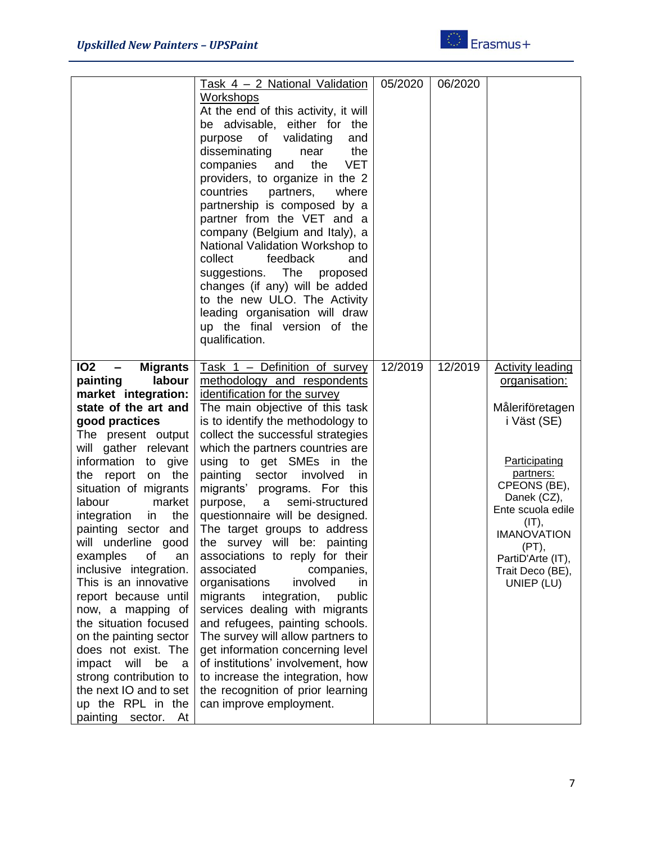

|                                             | <u>Task 4 – 2 National Validation</u>                        | 05/2020 | 06/2020 |                                |
|---------------------------------------------|--------------------------------------------------------------|---------|---------|--------------------------------|
|                                             | <b>Workshops</b>                                             |         |         |                                |
|                                             | At the end of this activity, it will                         |         |         |                                |
|                                             | be advisable, either for the                                 |         |         |                                |
|                                             | of<br>validating<br>purpose<br>and                           |         |         |                                |
|                                             | disseminating<br>the<br>near                                 |         |         |                                |
|                                             | <b>VET</b><br>companies<br>the<br>and                        |         |         |                                |
|                                             | providers, to organize in the 2                              |         |         |                                |
|                                             | partners,<br>countries<br>where                              |         |         |                                |
|                                             | partnership is composed by a                                 |         |         |                                |
|                                             | partner from the VET and a                                   |         |         |                                |
|                                             |                                                              |         |         |                                |
|                                             | company (Belgium and Italy), a                               |         |         |                                |
|                                             | National Validation Workshop to                              |         |         |                                |
|                                             | collect<br>feedback<br>and                                   |         |         |                                |
|                                             | suggestions. The<br>proposed                                 |         |         |                                |
|                                             | changes (if any) will be added                               |         |         |                                |
|                                             | to the new ULO. The Activity                                 |         |         |                                |
|                                             | leading organisation will draw                               |         |         |                                |
|                                             | up the final version of the                                  |         |         |                                |
|                                             | qualification.                                               |         |         |                                |
|                                             |                                                              |         |         |                                |
| <b>102</b><br><b>Migrants</b>               | Task 1 - Definition of survey                                | 12/2019 | 12/2019 | <b>Activity leading</b>        |
| painting<br>labour                          | methodology and respondents                                  |         |         | organisation:                  |
| market integration:                         | identification for the survey                                |         |         |                                |
| state of the art and                        | The main objective of this task                              |         |         | Måleriföretagen                |
| good practices                              | is to identify the methodology to                            |         |         | i Väst (SE)                    |
| The present output                          | collect the successful strategies                            |         |         |                                |
| will gather relevant                        | which the partners countries are                             |         |         |                                |
| information<br>to<br>give                   | using to get SMEs in<br>the                                  |         |         | Participating                  |
| the<br>the report<br>on                     | sector<br>involved<br>painting<br>in.                        |         |         | partners:                      |
| situation of migrants                       | migrants' programs. For this                                 |         |         | CPEONS (BE),                   |
| labour<br>market                            | semi-structured<br>purpose,<br>a                             |         |         | Danek (CZ),                    |
| the<br>integration<br>in                    | questionnaire will be designed.                              |         |         | Ente scuola edile              |
| painting sector and                         | The target groups to address                                 |         |         | $(IT)$ ,<br><b>IMANOVATION</b> |
| will underline good                         | the survey will be: painting                                 |         |         | (PT),                          |
| examples<br>Οf<br>an                        | associations to reply for their                              |         |         | PartiD'Arte (IT),              |
| inclusive integration.                      | associated<br>companies,                                     |         |         | Trait Deco (BE),               |
| This is an innovative                       | organisations<br>involved<br>in                              |         |         | UNIEP (LU)                     |
| report because until                        | migrants<br>integration,<br>public                           |         |         |                                |
| now, a mapping of                           | services dealing with migrants                               |         |         |                                |
| the situation focused                       | and refugees, painting schools.                              |         |         |                                |
| on the painting sector                      |                                                              |         |         |                                |
| does not exist. The                         |                                                              |         |         |                                |
| impact will<br>be<br>a                      | The survey will allow partners to                            |         |         |                                |
| strong contribution to                      | get information concerning level                             |         |         |                                |
|                                             | of institutions' involvement, how                            |         |         |                                |
|                                             | to increase the integration, how                             |         |         |                                |
| the next IO and to set<br>up the RPL in the | the recognition of prior learning<br>can improve employment. |         |         |                                |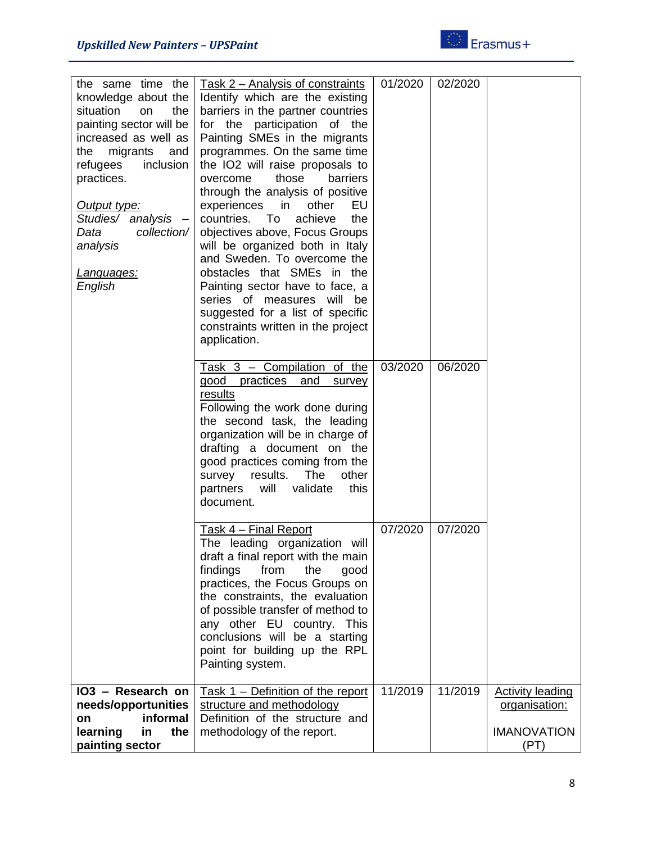

| the same time the<br>knowledge about the<br>situation<br>the<br>on<br>painting sector will be<br>increased as well as<br>migrants<br>and<br>the<br>refugees<br>inclusion<br>practices.<br>Output type:<br>Studies/ analysis -<br>collection/<br>Data<br>analysis<br><u>Languages:</u><br>English | Task 2 – Analysis of constraints<br>Identify which are the existing<br>barriers in the partner countries<br>for the participation of the<br>Painting SMEs in the migrants<br>programmes. On the same time<br>the IO2 will raise proposals to<br>those<br>overcome<br>barriers<br>through the analysis of positive<br>experiences in<br>other<br>EU<br>countries.<br>To<br>achieve<br>the<br>objectives above, Focus Groups<br>will be organized both in Italy<br>and Sweden. To overcome the<br>obstacles that SMEs in the<br>Painting sector have to face, a<br>series of measures will be<br>suggested for a list of specific<br>constraints written in the project<br>application. | 01/2020 | 02/2020 |                                                                        |
|--------------------------------------------------------------------------------------------------------------------------------------------------------------------------------------------------------------------------------------------------------------------------------------------------|---------------------------------------------------------------------------------------------------------------------------------------------------------------------------------------------------------------------------------------------------------------------------------------------------------------------------------------------------------------------------------------------------------------------------------------------------------------------------------------------------------------------------------------------------------------------------------------------------------------------------------------------------------------------------------------|---------|---------|------------------------------------------------------------------------|
|                                                                                                                                                                                                                                                                                                  | Task $3$ – Compilation of the<br>good<br>practices<br>and<br>survey<br>results<br>Following the work done during<br>the second task, the leading<br>organization will be in charge of<br>drafting a document on the<br>good practices coming from the<br>results.<br>The<br>survey<br>other<br>will<br>partners<br>validate<br>this<br>document.                                                                                                                                                                                                                                                                                                                                      | 03/2020 | 06/2020 |                                                                        |
|                                                                                                                                                                                                                                                                                                  | Task 4 - Final Report<br>The leading organization will<br>draft a final report with the main<br>findings<br>from<br>the<br>good<br>practices, the Focus Groups on<br>the constraints, the evaluation<br>of possible transfer of method to<br>any other EU country. This<br>conclusions will be a starting<br>point for building up the RPL<br>Painting system.                                                                                                                                                                                                                                                                                                                        | 07/2020 | 07/2020 |                                                                        |
| IO3 - Research on<br>needs/opportunities<br>informal<br>on<br>learning<br>the<br>in<br>painting sector                                                                                                                                                                                           | Task 1 - Definition of the report<br>structure and methodology<br>Definition of the structure and<br>methodology of the report.                                                                                                                                                                                                                                                                                                                                                                                                                                                                                                                                                       | 11/2019 | 11/2019 | <b>Activity leading</b><br>organisation:<br><b>IMANOVATION</b><br>(PT) |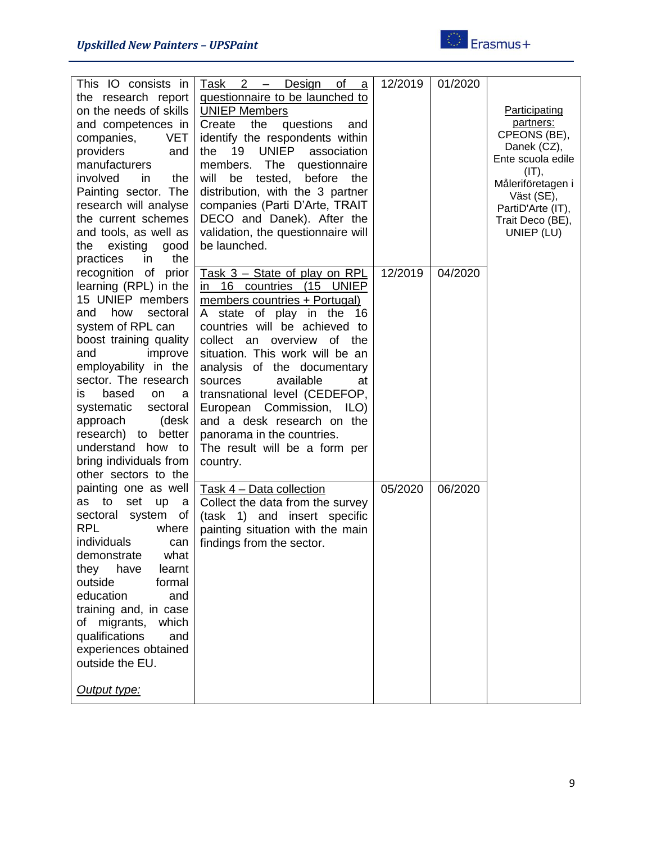

| This IO consists in                      | $2 -$<br>Task<br>Design<br>of<br>$\mathbf{a}$ | 12/2019 | 01/2020 |                                 |
|------------------------------------------|-----------------------------------------------|---------|---------|---------------------------------|
| the research report                      | questionnaire to be launched to               |         |         |                                 |
| on the needs of skills                   | <b>UNIEP Members</b>                          |         |         | Participating                   |
| and competences in                       | questions<br>Create<br>the<br>and             |         |         | partners:                       |
| <b>VET</b><br>companies,                 | identify the respondents within               |         |         | CPEONS (BE),                    |
| providers<br>and                         | <b>UNIEP</b><br>19<br>association<br>the      |         |         | Danek (CZ),                     |
| manufacturers                            | The questionnaire<br>members.                 |         |         | Ente scuola edile               |
| involved<br>in.<br>the                   | will<br>tested,<br>before<br>be<br>the        |         |         | $(IT)$ ,                        |
| Painting sector. The                     | distribution, with the 3 partner              |         |         | Måleriföretagen i               |
| research will analyse                    | companies (Parti D'Arte, TRAIT                |         |         | Väst (SE),<br>PartiD'Arte (IT), |
| the current schemes                      | DECO and Danek). After the                    |         |         | Trait Deco (BE),                |
| and tools, as well as                    | validation, the questionnaire will            |         |         | UNIEP (LU)                      |
| existing<br>the<br>good                  | be launched.                                  |         |         |                                 |
| practices<br>the<br>in                   |                                               |         |         |                                 |
| recognition of prior                     | <u>Task 3 – State of play on RPL</u>          | 12/2019 | 04/2020 |                                 |
| learning (RPL) in the                    | in 16 countries (15 UNIEP                     |         |         |                                 |
| 15 UNIEP members                         | members countries + Portugal)                 |         |         |                                 |
| how<br>sectoral<br>and                   | of play in the<br>A state<br>-16              |         |         |                                 |
| system of RPL can                        | countries will be achieved to                 |         |         |                                 |
| boost training quality                   | collect an overview of the                    |         |         |                                 |
| improve<br>and                           | situation. This work will be an               |         |         |                                 |
| employability in the                     | analysis of the documentary                   |         |         |                                 |
| sector. The research                     | available<br>sources<br>at                    |         |         |                                 |
| based                                    |                                               |         |         |                                 |
| on<br>IS<br>а<br>systematic<br>sectoral  | transnational level (CEDEFOP,                 |         |         |                                 |
|                                          | European Commission, ILO)                     |         |         |                                 |
| approach<br>(desk<br>research) to better | and a desk research on the                    |         |         |                                 |
| understand how to                        | panorama in the countries.                    |         |         |                                 |
| bring individuals from                   | The result will be a form per                 |         |         |                                 |
| other sectors to the                     | country.                                      |         |         |                                 |
|                                          |                                               | 05/2020 | 06/2020 |                                 |
| painting one as well<br>to               | Task 4 - Data collection                      |         |         |                                 |
| set<br>as<br>up<br>- a                   | Collect the data from the survey              |         |         |                                 |
| system<br>sectoral<br>of<br><b>RPL</b>   | (task 1) and insert specific                  |         |         |                                 |
| where                                    | painting situation with the main              |         |         |                                 |
| individuals<br>can                       | findings from the sector.                     |         |         |                                 |
| what<br>demonstrate                      |                                               |         |         |                                 |
| they<br>have<br>learnt                   |                                               |         |         |                                 |
| outside<br>formal                        |                                               |         |         |                                 |
| education<br>and                         |                                               |         |         |                                 |
| training and, in case                    |                                               |         |         |                                 |
| of migrants,<br>which                    |                                               |         |         |                                 |
| qualifications<br>and                    |                                               |         |         |                                 |
| experiences obtained                     |                                               |         |         |                                 |
| outside the EU.                          |                                               |         |         |                                 |
|                                          |                                               |         |         |                                 |
| Output type:                             |                                               |         |         |                                 |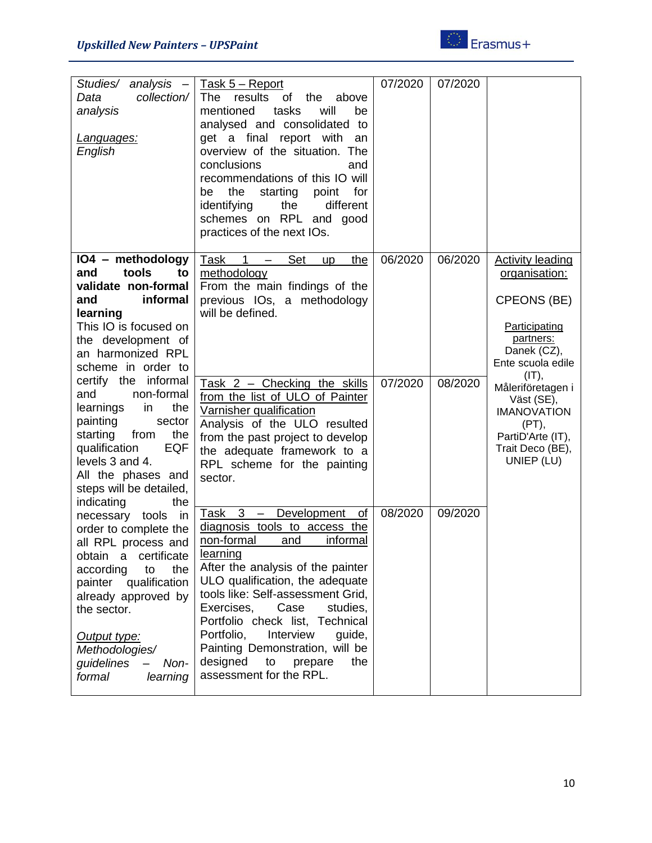

| Studies/<br>$analysis -$<br>collection/<br>Data<br>analysis<br>Languages:<br>English                                                                                                                                                                                                                                                                                   | Task 5 - Report<br>results<br>The<br>of<br>the<br>above<br>tasks<br>mentioned<br>will<br>be<br>analysed and consolidated to<br>get a final report with<br>an<br>overview of the situation. The<br>conclusions<br>and<br>recommendations of this IO will<br>the<br>starting<br>for<br>point<br>be<br>identifying<br>the<br>different<br>schemes on RPL and good<br>practices of the next IOs.                                                                             | 07/2020            | 07/2020            |                                                                                                                                                                                                                                                  |
|------------------------------------------------------------------------------------------------------------------------------------------------------------------------------------------------------------------------------------------------------------------------------------------------------------------------------------------------------------------------|--------------------------------------------------------------------------------------------------------------------------------------------------------------------------------------------------------------------------------------------------------------------------------------------------------------------------------------------------------------------------------------------------------------------------------------------------------------------------|--------------------|--------------------|--------------------------------------------------------------------------------------------------------------------------------------------------------------------------------------------------------------------------------------------------|
| IO4 - methodology<br>tools<br>and<br>to<br>validate non-formal<br>informal<br>and<br>learning<br>This IO is focused on<br>the development of<br>an harmonized RPL<br>scheme in order to<br>certify the informal<br>non-formal<br>and<br>learnings<br>the<br>in<br>painting<br>sector<br>starting<br>the<br>from<br>qualification<br><b>EQF</b>                         | Task<br><b>Set</b><br>$\mathbf 1$<br>the<br><b>up</b><br>methodology<br>From the main findings of the<br>previous IOs, a methodology<br>will be defined.<br>Task $2$ – Checking the skills<br>from the list of ULO of Painter<br>Varnisher qualification<br>Analysis of the ULO resulted<br>from the past project to develop<br>the adequate framework to a                                                                                                              | 06/2020<br>07/2020 | 06/2020<br>08/2020 | <b>Activity leading</b><br>organisation:<br>CPEONS (BE)<br>Participating<br>partners:<br>Danek (CZ),<br>Ente scuola edile<br>$(IT)$ ,<br>Måleriföretagen i<br>Väst (SE),<br><b>IMANOVATION</b><br>(PT),<br>PartiD'Arte (IT),<br>Trait Deco (BE), |
| levels 3 and 4.<br>All the phases and<br>steps will be detailed,<br>indicating<br>the<br>necessary tools<br>in<br>order to complete the<br>all RPL process and<br>certificate<br>obtain<br>a<br>the<br>according<br>to<br>qualification<br>painter<br>already approved by<br>the sector.<br>Output type:<br>Methodologies/<br>guidelines<br>Non-<br>formal<br>learning | RPL scheme for the painting<br>sector.<br>Task 3 - Development of<br>diagnosis tools to access the<br>non-formal<br>informal<br>and<br>learning<br>After the analysis of the painter<br>ULO qualification, the adequate<br>tools like: Self-assessment Grid,<br>Exercises,<br>Case<br>studies,<br>Portfolio check list, Technical<br>Portfolio,<br>Interview<br>guide,<br>Painting Demonstration, will be<br>designed<br>to<br>prepare<br>the<br>assessment for the RPL. | 08/2020            | 09/2020            | UNIEP (LU)                                                                                                                                                                                                                                       |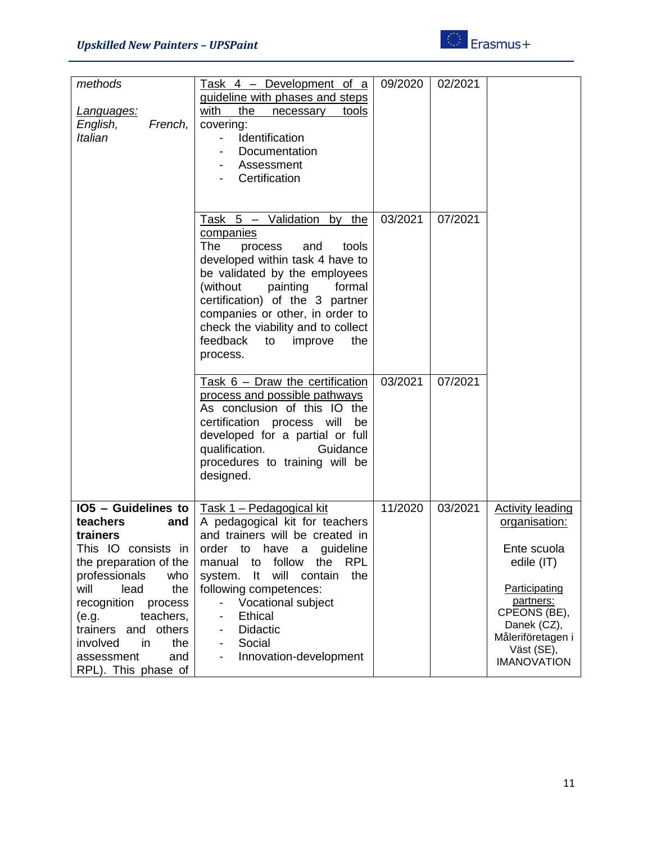

| methods                   | Task 4 - Development of a                       | 09/2020 | 02/2021 |                         |
|---------------------------|-------------------------------------------------|---------|---------|-------------------------|
|                           | guideline with phases and steps                 |         |         |                         |
| Languages:                | with<br>the<br>tools<br>necessary               |         |         |                         |
| English,<br>French,       | covering:                                       |         |         |                         |
| Italian                   | Identification                                  |         |         |                         |
|                           | Documentation                                   |         |         |                         |
|                           | Assessment                                      |         |         |                         |
|                           | Certification                                   |         |         |                         |
|                           |                                                 |         |         |                         |
|                           |                                                 |         |         |                         |
|                           | Task 5 - Validation by the                      | 03/2021 | 07/2021 |                         |
|                           | companies                                       |         |         |                         |
|                           | The                                             |         |         |                         |
|                           | process<br>and<br>tools                         |         |         |                         |
|                           | developed within task 4 have to                 |         |         |                         |
|                           | be validated by the employees                   |         |         |                         |
|                           | (without<br>painting<br>formal                  |         |         |                         |
|                           | certification) of the 3 partner                 |         |         |                         |
|                           | companies or other, in order to                 |         |         |                         |
|                           | check the viability and to collect              |         |         |                         |
|                           | feedback<br>improve<br>the<br>to                |         |         |                         |
|                           | process.                                        |         |         |                         |
|                           |                                                 |         |         |                         |
|                           | Task 6 - Draw the certification                 | 03/2021 | 07/2021 |                         |
|                           | process and possible pathways                   |         |         |                         |
|                           | As conclusion of this IO the                    |         |         |                         |
|                           | certification process will<br>be                |         |         |                         |
|                           | developed for a partial or full                 |         |         |                         |
|                           | qualification.<br>Guidance                      |         |         |                         |
|                           | procedures to training will be                  |         |         |                         |
|                           | designed.                                       |         |         |                         |
|                           |                                                 |         |         |                         |
| $105$ – Guidelines to     | <u> Task 1 – Pedagogical kit</u>                | 11/2020 | 03/2021 | <b>Activity leading</b> |
| teachers<br>and           | A pedagogical kit for teachers                  |         |         | organisation:           |
| trainers                  | and trainers will be created in                 |         |         |                         |
|                           | This IO consists in   order to have a guideline |         |         | Ente scuola             |
| the preparation of the    | RPL<br>to follow<br>manual<br>the               |         |         | edile (IT)              |
| professionals<br>who      | will<br>system.<br>It<br>contain<br>the         |         |         |                         |
| will<br>lead<br>the       | following competences:                          |         |         | Participating           |
|                           | ω.                                              |         |         | partners:               |
| recognition process       | Vocational subject                              |         |         | CPEONS (BE),            |
| teachers,<br>(e.g.        | <b>Ethical</b>                                  |         |         | Danek (CZ),             |
| others<br>trainers<br>and | Didactic                                        |         |         | Måleriföretagen i       |
| involved<br>the<br>in     | Social<br>$\qquad \qquad \blacksquare$          |         |         | Väst (SE),              |
| assessment<br>and         | Innovation-development                          |         |         | <b>IMANOVATION</b>      |
| RPL). This phase of       |                                                 |         |         |                         |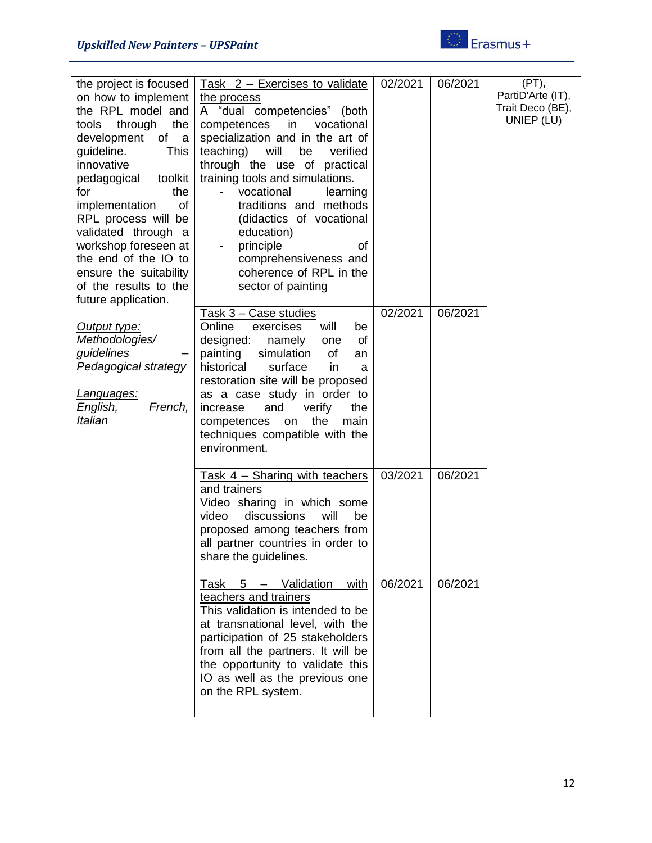

| the project is focused  | Task 2 - Exercises to validate                     | 02/2021 | 06/2021 | (PT),<br>PartiD'Arte (IT), |
|-------------------------|----------------------------------------------------|---------|---------|----------------------------|
| on how to implement     | the process                                        |         |         | Trait Deco (BE),           |
| the RPL model and       | A "dual competencies" (both                        |         |         | UNIEP (LU)                 |
| through<br>the<br>tools | in<br>competences<br>vocational                    |         |         |                            |
| development<br>of a     | specialization and in the art of                   |         |         |                            |
| guideline.<br>This      | teaching)<br>will<br>be<br>verified                |         |         |                            |
| innovative              | through the use of practical                       |         |         |                            |
| pedagogical<br>toolkit  | training tools and simulations.                    |         |         |                            |
| the<br>for              | vocational<br>learning<br>$\overline{\phantom{0}}$ |         |         |                            |
| implementation<br>of    | traditions and methods                             |         |         |                            |
| RPL process will be     | (didactics of vocational                           |         |         |                            |
| validated through a     | education)                                         |         |         |                            |
| workshop foreseen at    | principle<br>of                                    |         |         |                            |
| the end of the IO to    | comprehensiveness and                              |         |         |                            |
| ensure the suitability  | coherence of RPL in the                            |         |         |                            |
| of the results to the   | sector of painting                                 |         |         |                            |
| future application.     |                                                    |         |         |                            |
|                         | Task 3 - Case studies                              | 02/2021 | 06/2021 |                            |
| Output type:            | Online<br>exercises<br>will<br>be                  |         |         |                            |
| Methodologies/          | designed:<br>namely<br>of<br>one                   |         |         |                            |
| guidelines              | simulation<br>painting<br>of<br>an                 |         |         |                            |
| Pedagogical strategy    | surface<br>historical<br>in<br>a                   |         |         |                            |
|                         | restoration site will be proposed                  |         |         |                            |
| <u>Languages:</u>       | as a case study in order to                        |         |         |                            |
| English,<br>French,     | increase<br>and<br>verify<br>the                   |         |         |                            |
| Italian                 | the<br>main<br>competences<br>on                   |         |         |                            |
|                         | techniques compatible with the                     |         |         |                            |
|                         | environment.                                       |         |         |                            |
|                         |                                                    |         |         |                            |
|                         | Task 4 - Sharing with teachers                     | 03/2021 | 06/2021 |                            |
|                         | and trainers                                       |         |         |                            |
|                         | Video sharing in which some                        |         |         |                            |
|                         | discussions<br>will<br>video<br>be                 |         |         |                            |
|                         | proposed among teachers from                       |         |         |                            |
|                         | all partner countries in order to                  |         |         |                            |
|                         | share the guidelines.                              |         |         |                            |
|                         |                                                    |         |         |                            |
|                         | Validation<br>Task 5<br>with                       | 06/2021 | 06/2021 |                            |
|                         | teachers and trainers                              |         |         |                            |
|                         | This validation is intended to be                  |         |         |                            |
|                         |                                                    |         |         |                            |
|                         | at transnational level, with the                   |         |         |                            |
|                         | participation of 25 stakeholders                   |         |         |                            |
|                         | from all the partners. It will be                  |         |         |                            |
|                         | the opportunity to validate this                   |         |         |                            |
|                         | IO as well as the previous one                     |         |         |                            |
|                         | on the RPL system.                                 |         |         |                            |
|                         |                                                    |         |         |                            |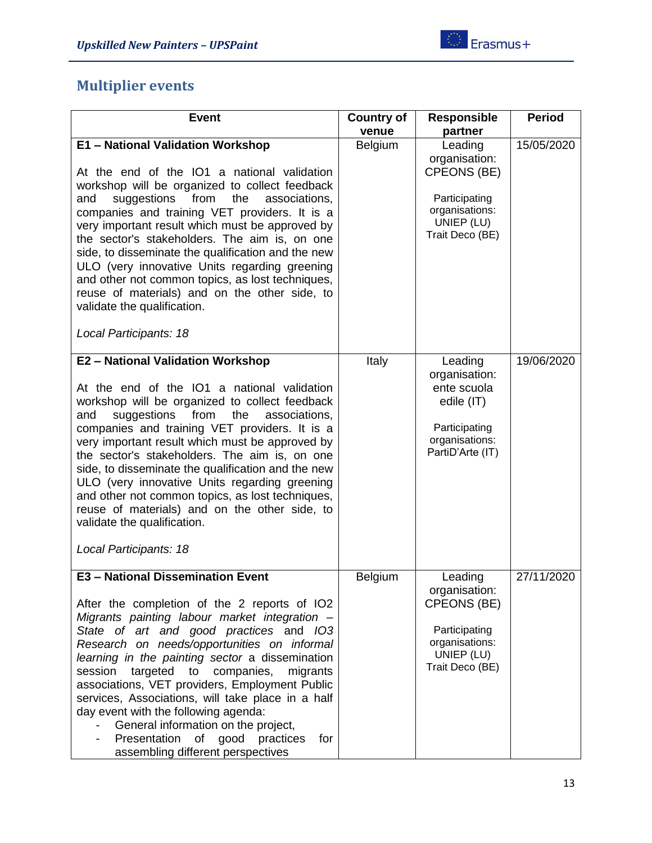## <span id="page-12-0"></span>**Multiplier events**

| <b>Event</b>                                                                                                                                                                                                                                                                                                                                                                                                                                                                                                                                                                                                       | <b>Country of</b><br>venue | <b>Responsible</b><br>partner                                                                                      | <b>Period</b> |
|--------------------------------------------------------------------------------------------------------------------------------------------------------------------------------------------------------------------------------------------------------------------------------------------------------------------------------------------------------------------------------------------------------------------------------------------------------------------------------------------------------------------------------------------------------------------------------------------------------------------|----------------------------|--------------------------------------------------------------------------------------------------------------------|---------------|
| E1 - National Validation Workshop<br>At the end of the IO1 a national validation<br>workshop will be organized to collect feedback<br>suggestions<br>from<br>the<br>and<br>associations,<br>companies and training VET providers. It is a<br>very important result which must be approved by<br>the sector's stakeholders. The aim is, on one<br>side, to disseminate the qualification and the new<br>ULO (very innovative Units regarding greening<br>and other not common topics, as lost techniques,<br>reuse of materials) and on the other side, to<br>validate the qualification.<br>Local Participants: 18 | Belgium                    | Leading<br>organisation:<br><b>CPEONS (BE)</b><br>Participating<br>organisations:<br>UNIEP (LU)<br>Trait Deco (BE) | 15/05/2020    |
| E2 - National Validation Workshop<br>At the end of the IO1 a national validation<br>workshop will be organized to collect feedback<br>suggestions<br>from<br>the<br>and<br>associations,<br>companies and training VET providers. It is a<br>very important result which must be approved by<br>the sector's stakeholders. The aim is, on one<br>side, to disseminate the qualification and the new<br>ULO (very innovative Units regarding greening<br>and other not common topics, as lost techniques,<br>reuse of materials) and on the other side, to<br>validate the qualification.<br>Local Participants: 18 | Italy                      | Leading<br>organisation:<br>ente scuola<br>edile (IT)<br>Participating<br>organisations:<br>PartiD'Arte (IT)       | 19/06/2020    |
| <b>E3 - National Dissemination Event</b><br>After the completion of the 2 reports of IO2<br>Migrants painting labour market integration -<br>State of art and good practices and IO3<br>Research on needs/opportunities on informal<br>learning in the painting sector a dissemination<br>targeted to companies,<br>session<br>migrants<br>associations, VET providers, Employment Public<br>services, Associations, will take place in a half<br>day event with the following agenda:<br>General information on the project,<br>Presentation of good practices<br>for<br>assembling different perspectives        | Belgium                    | Leading<br>organisation:<br>CPEONS (BE)<br>Participating<br>organisations:<br>UNIEP (LU)<br>Trait Deco (BE)        | 27/11/2020    |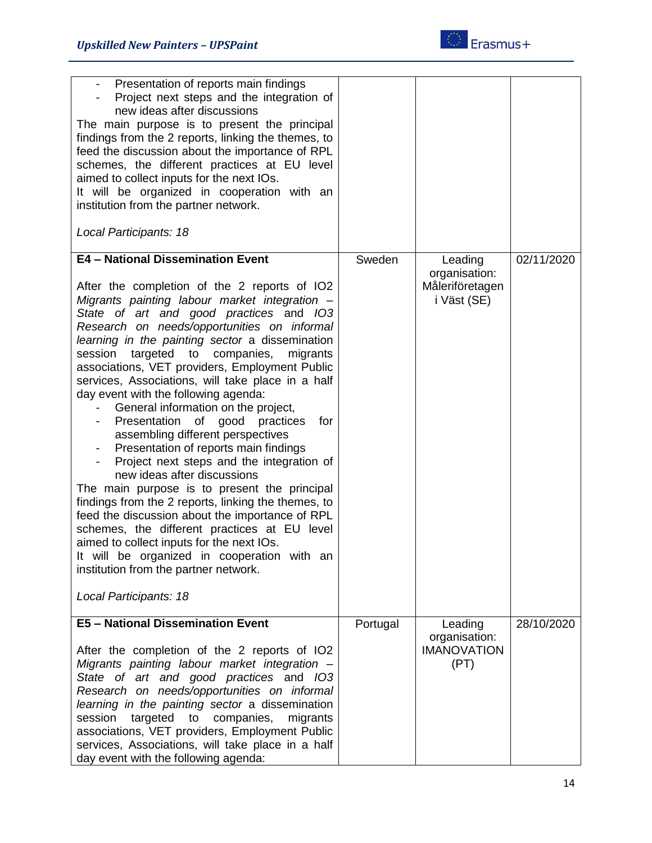| Presentation of reports main findings<br>Project next steps and the integration of<br>new ideas after discussions<br>The main purpose is to present the principal<br>findings from the 2 reports, linking the themes, to<br>feed the discussion about the importance of RPL<br>schemes, the different practices at EU level<br>aimed to collect inputs for the next IOs.<br>It will be organized in cooperation with an<br>institution from the partner network.<br>Local Participants: 18                                                                                                                                                                                                                                                                                                                                                                                                                                                                                                                                                                       |          |                                                 |            |
|------------------------------------------------------------------------------------------------------------------------------------------------------------------------------------------------------------------------------------------------------------------------------------------------------------------------------------------------------------------------------------------------------------------------------------------------------------------------------------------------------------------------------------------------------------------------------------------------------------------------------------------------------------------------------------------------------------------------------------------------------------------------------------------------------------------------------------------------------------------------------------------------------------------------------------------------------------------------------------------------------------------------------------------------------------------|----------|-------------------------------------------------|------------|
| E4 - National Dissemination Event                                                                                                                                                                                                                                                                                                                                                                                                                                                                                                                                                                                                                                                                                                                                                                                                                                                                                                                                                                                                                                | Sweden   | Leading                                         | 02/11/2020 |
| After the completion of the 2 reports of IO2<br>Migrants painting labour market integration -<br>State of art and good practices and IO3<br>Research on needs/opportunities on informal<br>learning in the painting sector a dissemination<br>targeted to<br>session<br>companies,<br>migrants<br>associations, VET providers, Employment Public<br>services, Associations, will take place in a half<br>day event with the following agenda:<br>General information on the project,<br>Presentation of good practices<br>for<br>assembling different perspectives<br>Presentation of reports main findings<br>Project next steps and the integration of<br>new ideas after discussions<br>The main purpose is to present the principal<br>findings from the 2 reports, linking the themes, to<br>feed the discussion about the importance of RPL<br>schemes, the different practices at EU level<br>aimed to collect inputs for the next IOs.<br>It will be organized in cooperation with an<br>institution from the partner network.<br>Local Participants: 18 |          | organisation:<br>Måleriföretagen<br>i Väst (SE) |            |
| <b>E5 - National Dissemination Event</b>                                                                                                                                                                                                                                                                                                                                                                                                                                                                                                                                                                                                                                                                                                                                                                                                                                                                                                                                                                                                                         | Portugal | Leading                                         | 28/10/2020 |
| After the completion of the 2 reports of IO2<br>Migrants painting labour market integration -<br>State of art and good practices and IO3<br>Research on needs/opportunities on informal<br>learning in the painting sector a dissemination<br>targeted<br>session<br>to<br>companies,<br>migrants<br>associations, VET providers, Employment Public<br>services, Associations, will take place in a half<br>day event with the following agenda:                                                                                                                                                                                                                                                                                                                                                                                                                                                                                                                                                                                                                 |          | organisation:<br><b>IMANOVATION</b><br>(PT)     |            |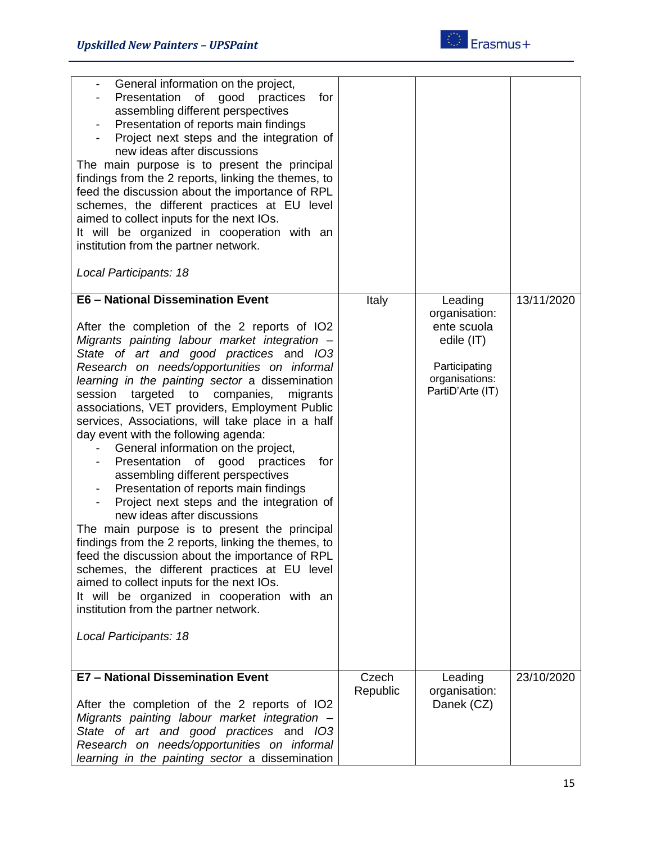

| General information on the project,<br>Presentation of good practices<br>for<br>assembling different perspectives<br>Presentation of reports main findings<br>Project next steps and the integration of<br>new ideas after discussions<br>The main purpose is to present the principal<br>findings from the 2 reports, linking the themes, to<br>feed the discussion about the importance of RPL<br>schemes, the different practices at EU level<br>aimed to collect inputs for the next IOs.<br>It will be organized in cooperation with an<br>institution from the partner network.<br>Local Participants: 18                                                                                                                                                                                                                                                                                                                                                                                                                                                                                              |                   |                                                                                                              |            |
|--------------------------------------------------------------------------------------------------------------------------------------------------------------------------------------------------------------------------------------------------------------------------------------------------------------------------------------------------------------------------------------------------------------------------------------------------------------------------------------------------------------------------------------------------------------------------------------------------------------------------------------------------------------------------------------------------------------------------------------------------------------------------------------------------------------------------------------------------------------------------------------------------------------------------------------------------------------------------------------------------------------------------------------------------------------------------------------------------------------|-------------------|--------------------------------------------------------------------------------------------------------------|------------|
| <b>E6 - National Dissemination Event</b><br>After the completion of the 2 reports of IO2<br>Migrants painting labour market integration -<br>State of art and good practices and IO3<br>Research on needs/opportunities on informal<br>learning in the painting sector a dissemination<br>session<br>targeted to<br>companies,<br>migrants<br>associations, VET providers, Employment Public<br>services, Associations, will take place in a half<br>day event with the following agenda:<br>General information on the project,<br>Presentation of good practices<br>for<br>assembling different perspectives<br>Presentation of reports main findings<br>Project next steps and the integration of<br>new ideas after discussions<br>The main purpose is to present the principal<br>findings from the 2 reports, linking the themes, to<br>feed the discussion about the importance of RPL<br>schemes, the different practices at EU level<br>aimed to collect inputs for the next IOs.<br>It will be organized in cooperation with an<br>institution from the partner network.<br>Local Participants: 18 | Italy             | Leading<br>organisation:<br>ente scuola<br>edile (IT)<br>Participating<br>organisations:<br>PartiD'Arte (IT) | 13/11/2020 |
| <b>E7 - National Dissemination Event</b><br>After the completion of the 2 reports of IO2<br>Migrants painting labour market integration -<br>State of art and good practices and IO3<br>Research on needs/opportunities on informal<br>learning in the painting sector a dissemination                                                                                                                                                                                                                                                                                                                                                                                                                                                                                                                                                                                                                                                                                                                                                                                                                       | Czech<br>Republic | Leading<br>organisation:<br>Danek (CZ)                                                                       | 23/10/2020 |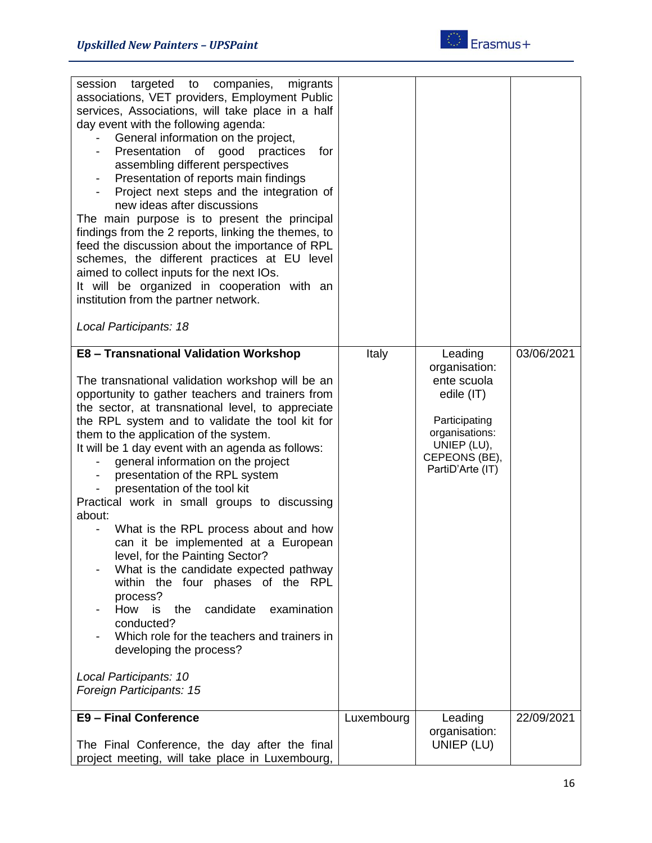

| targeted to companies,<br>session<br>migrants<br>associations, VET providers, Employment Public<br>services, Associations, will take place in a half<br>day event with the following agenda:<br>General information on the project,<br>Presentation<br>of good practices<br>for<br>assembling different perspectives<br>Presentation of reports main findings<br>Project next steps and the integration of<br>new ideas after discussions<br>The main purpose is to present the principal<br>findings from the 2 reports, linking the themes, to<br>feed the discussion about the importance of RPL<br>schemes, the different practices at EU level<br>aimed to collect inputs for the next IOs.<br>It will be organized in cooperation with an<br>institution from the partner network.<br>Local Participants: 18                                                                                                                  |            |                                                                                                                                              |            |
|-------------------------------------------------------------------------------------------------------------------------------------------------------------------------------------------------------------------------------------------------------------------------------------------------------------------------------------------------------------------------------------------------------------------------------------------------------------------------------------------------------------------------------------------------------------------------------------------------------------------------------------------------------------------------------------------------------------------------------------------------------------------------------------------------------------------------------------------------------------------------------------------------------------------------------------|------------|----------------------------------------------------------------------------------------------------------------------------------------------|------------|
| E8 - Transnational Validation Workshop<br>The transnational validation workshop will be an<br>opportunity to gather teachers and trainers from<br>the sector, at transnational level, to appreciate<br>the RPL system and to validate the tool kit for<br>them to the application of the system.<br>It will be 1 day event with an agenda as follows:<br>general information on the project<br>presentation of the RPL system<br>presentation of the tool kit<br>Practical work in small groups to discussing<br>about:<br>What is the RPL process about and how<br>can it be implemented at a European<br>level, for the Painting Sector?<br>What is the candidate expected pathway<br>within the four phases of the RPL<br>process?<br>candidate<br>How<br>the<br>examination<br>is<br>conducted?<br>Which role for the teachers and trainers in<br>developing the process?<br>Local Participants: 10<br>Foreign Participants: 15 | Italy      | Leading<br>organisation:<br>ente scuola<br>edile (IT)<br>Participating<br>organisations:<br>UNIEP (LU),<br>CEPEONS (BE),<br>PartiD'Arte (IT) | 03/06/2021 |
| <b>E9 - Final Conference</b><br>The Final Conference, the day after the final<br>project meeting, will take place in Luxembourg,                                                                                                                                                                                                                                                                                                                                                                                                                                                                                                                                                                                                                                                                                                                                                                                                    | Luxembourg | Leading<br>organisation:<br>UNIEP (LU)                                                                                                       | 22/09/2021 |